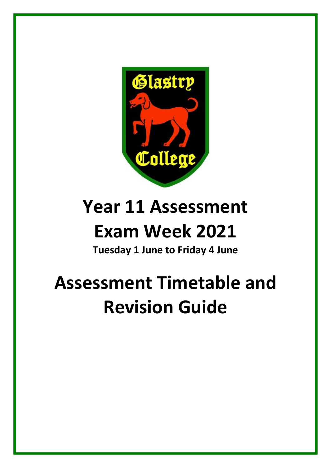

# **Year 11 Assessment**

### **Exam Week 2021**

**Tuesday 1 June to Friday 4 June**

# **Assessment Timetable and Revision Guide**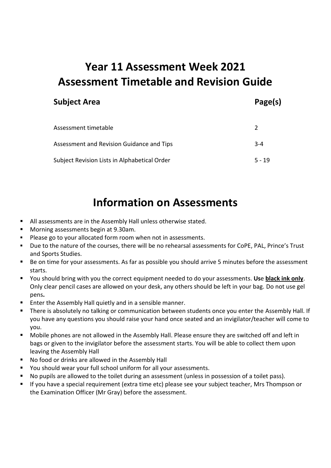### **Year 11 Assessment Week 2021 Assessment Timetable and Revision Guide**

#### **Subject Area Page(s)**

| Assessment timetable                         |          |
|----------------------------------------------|----------|
| Assessment and Revision Guidance and Tips    | $3 - 4$  |
| Subject Revision Lists in Alphabetical Order | $5 - 19$ |

### **Information on Assessments**

- All assessments are in the Assembly Hall unless otherwise stated.
- Morning assessments begin at 9.30am.
- Please go to your allocated form room when not in assessments.
- Due to the nature of the courses, there will be no rehearsal assessments for CoPE, PAL, Prince's Trust and Sports Studies.
- Be on time for your assessments. As far as possible you should arrive 5 minutes before the assessment starts.
- You should bring with you the correct equipment needed to do your assessments. **Us**e **black ink only**. Only clear pencil cases are allowed on your desk, any others should be left in your bag. Do not use gel pens**.**
- Enter the Assembly Hall quietly and in a sensible manner.
- There is absolutely no talking or communication between students once you enter the Assembly Hall. If you have any questions you should raise your hand once seated and an invigilator/teacher will come to you.
- Mobile phones are not allowed in the Assembly Hall. Please ensure they are switched off and left in bags or given to the invigilator before the assessment starts. You will be able to collect them upon leaving the Assembly Hall
- No food or drinks are allowed in the Assembly Hall
- You should wear your full school uniform for all your assessments.
- No pupils are allowed to the toilet during an assessment (unless in possession of a toilet pass).
- If you have a special requirement (extra time etc) please see your subject teacher, Mrs Thompson or the Examination Officer (Mr Gray) before the assessment.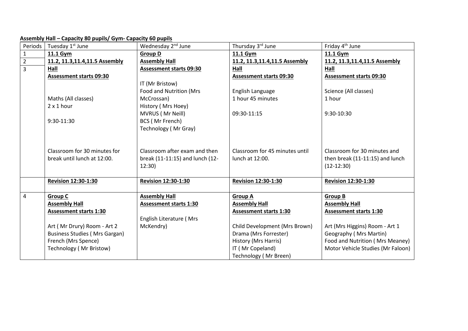#### **Assembly Hall – Capacity 80 pupils/ Gym- Capacity 60 pupils**

| Periods        | Tuesday 1 <sup>st</sup> June                          | Wednesday 2 <sup>nd</sup> June  | Thursday 3rd June                                     | Friday 4 <sup>th</sup> June                           |
|----------------|-------------------------------------------------------|---------------------------------|-------------------------------------------------------|-------------------------------------------------------|
| $\mathbf{1}$   | 11.1 Gym                                              | <b>Group D</b>                  | 11.1 Gym                                              | 11.1 Gym                                              |
| $\overline{2}$ | 11.2, 11.3, 11.4, 11.5 Assembly                       | <b>Assembly Hall</b>            | 11.2, 11.3, 11.4, 11.5 Assembly                       | 11.2, 11.3, 11.4, 11.5 Assembly                       |
| $\overline{3}$ | Hall                                                  | <b>Assessment starts 09:30</b>  | Hall                                                  | Hall                                                  |
|                | <b>Assessment starts 09:30</b>                        |                                 | <b>Assessment starts 09:30</b>                        | <b>Assessment starts 09:30</b>                        |
|                |                                                       | IT (Mr Bristow)                 |                                                       |                                                       |
|                |                                                       | Food and Nutrition (Mrs         | English Language                                      | Science (All classes)                                 |
|                | Maths (All classes)                                   | McCrossan)                      | 1 hour 45 minutes                                     | 1 hour                                                |
|                | $2 \times 1$ hour                                     | History (Mrs Hoey)              |                                                       |                                                       |
|                |                                                       | MVRUS (Mr Neill)                | 09:30-11:15                                           | 9:30-10:30                                            |
|                | 9:30-11:30                                            | BCS (Mr French)                 |                                                       |                                                       |
|                |                                                       | Technology (Mr Gray)            |                                                       |                                                       |
|                |                                                       |                                 |                                                       |                                                       |
|                |                                                       |                                 |                                                       |                                                       |
|                | Classroom for 30 minutes for                          | Classroom after exam and then   | Classroom for 45 minutes until                        | Classroom for 30 minutes and                          |
|                | break until lunch at 12:00.                           | break (11-11:15) and lunch (12- | lunch at 12:00.                                       | then break (11-11:15) and lunch                       |
|                |                                                       | 12:30)                          |                                                       | $(12-12:30)$                                          |
|                |                                                       |                                 |                                                       |                                                       |
|                | <b>Revision 12:30-1:30</b>                            | <b>Revision 12:30-1:30</b>      | <b>Revision 12:30-1:30</b>                            | <b>Revision 12:30-1:30</b>                            |
|                |                                                       |                                 |                                                       |                                                       |
| $\overline{4}$ | <b>Group C</b>                                        | <b>Assembly Hall</b>            | <b>Group A</b>                                        | <b>Group B</b>                                        |
|                | <b>Assembly Hall</b><br><b>Assessment starts 1:30</b> | <b>Assessment starts 1:30</b>   | <b>Assembly Hall</b><br><b>Assessment starts 1:30</b> | <b>Assembly Hall</b><br><b>Assessment starts 1:30</b> |
|                |                                                       | English Literature (Mrs         |                                                       |                                                       |
|                | Art (Mr Drury) Room - Art 2                           | McKendry)                       | Child Development (Mrs Brown)                         | Art (Mrs Higgins) Room - Art 1                        |
|                | <b>Business Studies (Mrs Gargan)</b>                  |                                 | Drama (Mrs Forrester)                                 | Geography (Mrs Martin)                                |
|                | French (Mrs Spence)                                   |                                 | History (Mrs Harris)                                  | Food and Nutrition (Mrs Meaney)                       |
|                | Technology (Mr Bristow)                               |                                 | IT (Mr Copeland)                                      | Motor Vehicle Studies (Mr Faloon)                     |
|                |                                                       |                                 |                                                       |                                                       |
|                |                                                       |                                 | Technology (Mr Breen)                                 |                                                       |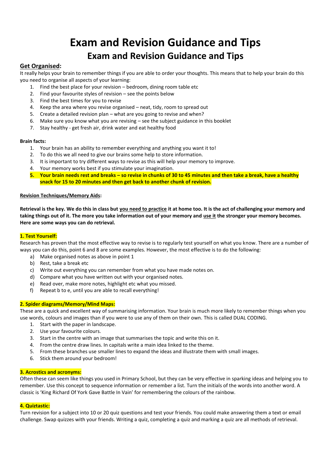### **Exam and Revision Guidance and Tips Exam and Revision Guidance and Tips**

#### **Get Organised:**

It really helps your brain to remember things if you are able to order your thoughts. This means that to help your brain do this you need to organise all aspects of your learning:

- 1. Find the best place for your revision bedroom, dining room table etc
- 2. Find your favourite styles of revision see the points below
- 3. Find the best times for you to revise
- 4. Keep the area where you revise organised neat, tidy, room to spread out
- 5. Create a detailed revision plan what are you going to revise and when?
- 6. Make sure you know what you are revising see the subject guidance in this booklet
- 7. Stay healthy get fresh air, drink water and eat healthy food

#### **Brain facts:**

- 1. Your brain has an ability to remember everything and anything you want it to!
- 2. To do this we all need to give our brains some help to store information.
- 3. It is important to try different ways to revise as this will help your memory to improve.
- 4. Your memory works best if you stimulate your imagination.
- **5. Your brain needs rest and breaks – so revise in chunks of 30 to 45 minutes and then take a break, have a healthy snack for 15 to 20 minutes and then get back to another chunk of revision.**

#### **Revision Techniques/Memory Aids:**

**Retrieval is the key. We do this in class but you need to practice it at home too. It is the act of challenging your memory and taking things out of it. The more you take information out of your memory and use it the stronger your memory becomes. Here are some ways you can do retrieval.**

#### **1. Test Yourself:**

Research has proven that the most effective way to revise is to regularly test yourself on what you know. There are a number of ways you can do this, point 6 and 8 are some examples. However, the most effective is to do the following:

- a) Make organised notes as above in point 1
- b) Rest, take a break etc
- c) Write out everything you can remember from what you have made notes on.
- d) Compare what you have written out with your organised notes.
- e) Read over, make more notes, highlight etc what you missed.
- f) Repeat b to e, until you are able to recall everything!

#### **2. Spider diagrams/Memory/Mind Maps:**

These are a quick and excellent way of summarising information. Your brain is much more likely to remember things when you use words, colours and images than if you were to use any of them on their own. This is called DUAL CODING.

- 1. Start with the paper in landscape.
- 2. Use your favourite colours.
- 3. Start in the centre with an image that summarises the topic and write this on it.
- 4. From the centre draw lines. In capitals write a main idea linked to the theme.
- 5. From these branches use smaller lines to expand the ideas and illustrate them with small images.
- 6. Stick them around your bedroom!

#### **3. Acrostics and acronyms:**

Often these can seem like things you used in Primary School, but they can be very effective in sparking ideas and helping you to remember. Use this concept to sequence information or remember a list. Turn the initials of the words into another word. A classic is 'King Richard Of York Gave Battle In Vain' for remembering the colours of the rainbow.

#### **4. Quiztastic:**

Turn revision for a subject into 10 or 20 quiz questions and test your friends. You could make answering them a text or email challenge. Swap quizzes with your friends. Writing a quiz, completing a quiz and marking a quiz are all methods of retrieval.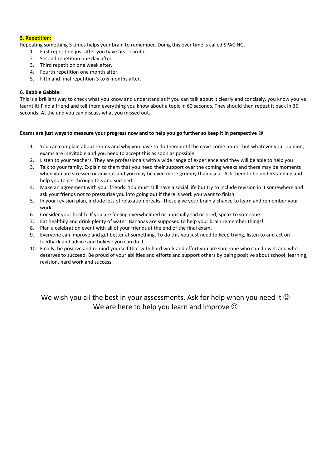#### **5. Repetition:**

Repeating something 5 times helps your brain to remember. Doing this over time is called SPACING.

- 1. First repetition just after you have first learnt it.
- 2. Second repetition one day after.
- 3. Third repetition one week after.
- 4. Fourth repetition one month after.
- 5. Fifth and final repetition 3 to 6 months after.

#### **6. Babble Gabble:**

This is a brilliant way to check what you know and understand as if you can talk about it clearly and concisely, you know you've learnt it! Find a friend and tell them everything you know about a topic in 60 seconds. They should then repeat it back in 30 seconds. At the end you can discuss what you missed out.

#### **Exams are just ways to measure your progress now and to help you go further so keep it in perspective**

- 1. You can complain about exams and why you have to do them until the cows come home, but whatever your opinion, exams are inevitable and you need to accept this as soon as possible.
- 2. Listen to your teachers. They are professionals with a wide range of experience and they will be able to help you!
- 3. Talk to your family. Explain to them that you need their support over the coming weeks and there may be moments when you are stressed or anxious and you may be even more grumpy than usual. Ask them to be understanding and help you to get through this and succeed.
- 4. Make an agreement with your friends. You must still have a social life but try to include revision in it somewhere and ask your friends not to pressurise you into going out if there is work you want to finish.
- 5. In your revision plan, include lots of relaxation breaks. These give your brain a chance to learn and remember your work.
- 6. Consider your health. If you are feeling overwhelmed or unusually sad or tired, speak to someone.
- 7. Eat healthily and drink plenty of water. Bananas are supposed to help your brain remember things!
- 8. Plan a celebration event with all of your friends at the end of the final exam.
- 9. Everyone can improve and get better at something. To do this you just need to keep trying, listen to and act on feedback and advice and believe you can do it.
- 10. Finally, be positive and remind yourself that with hard work and effort you are someone who can do well and who deserves to succeed. Be proud of your abilities and efforts and support others by being positive about school, learning, revision, hard work and success.

We wish you all the best in your assessments. Ask for help when you need it  $\odot$ We are here to help you learn and improve  $\odot$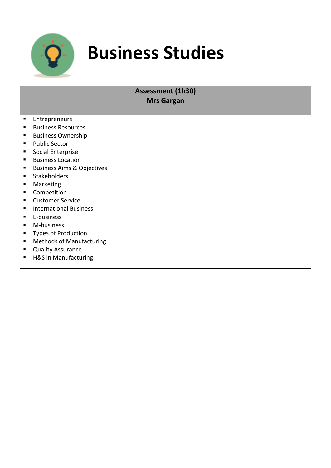

### **Business Studies**

#### **Assessment (1h30) Mrs Gargan**

- **Entrepreneurs**
- **Business Resources**
- **Business Ownership**
- **Public Sector**
- Social Enterprise
- **Business Location**
- **Business Aims & Objectives**
- **Stakeholders**
- **Marketing**
- **Competition**
- **E** Customer Service
- **International Business**
- **E-business**
- **M-business**
- **Types of Production**
- Methods of Manufacturing
- **Quality Assurance**
- H&S in Manufacturing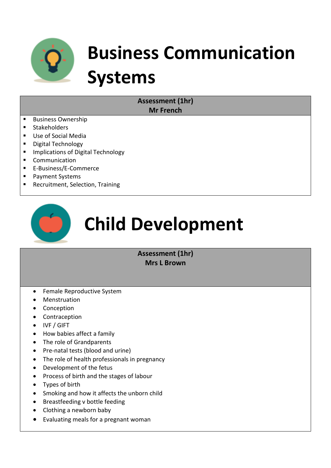

# **Business Communication Systems**

**Assessment (1hr) Mr French**

- **Business Ownership**
- **Stakeholders**
- Use of Social Media
- **•** Digital Technology
- **Implications of Digital Technology**
- **Communication**
- E-Business/E-Commerce
- **Payment Systems**
- **Recruitment, Selection, Training**



# **Child Development**

#### **Assessment (1hr) Mrs L Brown**

- Female Reproductive System
- Menstruation
- Conception
- Contraception
- IVF / GIFT
- How babies affect a family
- The role of Grandparents
- Pre-natal tests (blood and urine)
- The role of health professionals in pregnancy
- Development of the fetus
- Process of birth and the stages of labour
- Types of birth
- Smoking and how it affects the unborn child
- Breastfeeding v bottle feeding
- Clothing a newborn baby
- Evaluating meals for a pregnant woman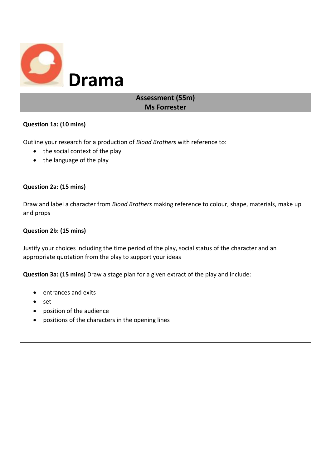

#### **Assessment (55m) Ms Forrester**

#### **Question 1a: (10 mins)**

Outline your research for a production of *Blood Brothers* with reference to:

- $\bullet$  the social context of the play
- the language of the play

#### **Question 2a: (15 mins)**

Draw and label a character from *Blood Brothers* making reference to colour, shape, materials, make up and props

#### **Question 2b: (15 mins)**

Justify your choices including the time period of the play, social status of the character and an appropriate quotation from the play to support your ideas

**Question 3a: (15 mins)** Draw a stage plan for a given extract of the play and include:

- entrances and exits
- set
- position of the audience
- positions of the characters in the opening lines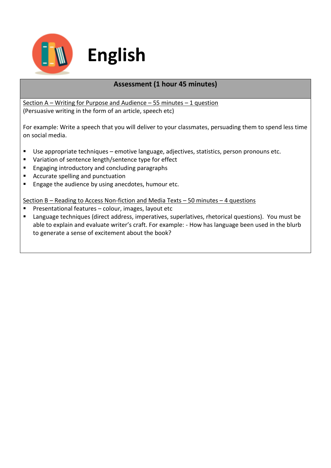

#### **Assessment (1 hour 45 minutes)**

Section A – Writing for Purpose and Audience – 55 minutes – 1 question (Persuasive writing in the form of an article, speech etc)

For example: Write a speech that you will deliver to your classmates, persuading them to spend less time on social media.

- Use appropriate techniques emotive language, adjectives, statistics, person pronouns etc.
- Variation of sentence length/sentence type for effect
- **Engaging introductory and concluding paragraphs**
- Accurate spelling and punctuation
- **Engage the audience by using anecdotes, humour etc.**

Section B – Reading to Access Non-fiction and Media Texts – 50 minutes – 4 questions

- **Presentational features colour, images, layout etc**
- Language techniques (direct address, imperatives, superlatives, rhetorical questions). You must be able to explain and evaluate writer's craft. For example: - How has language been used in the blurb to generate a sense of excitement about the book?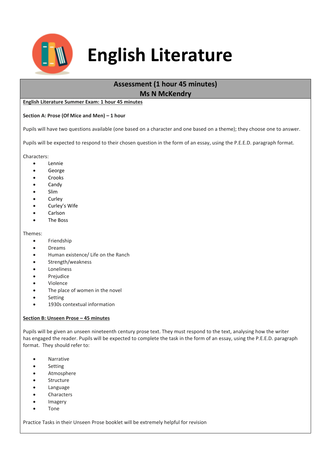

### **English Literature**

### **Assessment (1 hour 45 minutes)**

**Ms N McKendry**

#### **English Literature Summer Exam: 1 hour 45 minutes**

#### **Section A: Prose (Of Mice and Men) – 1 hour**

Pupils will have two questions available (one based on a character and one based on a theme); they choose one to answer.

Pupils will be expected to respond to their chosen question in the form of an essay, using the P.E.E.D. paragraph format.

Characters:

- Lennie
- George
- Crooks
- Candy
- Slim
- Curley
- Curley's Wife
- Carlson
- The Boss

#### Themes:

- **•** Friendship
- Dreams
- Human existence/ Life on the Ranch
- Strength/weakness
- Loneliness
- Prejudice
- Violence
- The place of women in the novel
- Setting
- 1930s contextual information

#### **Section B: Unseen Prose – 45 minutes**

Pupils will be given an unseen nineteenth century prose text. They must respond to the text, analysing how the writer has engaged the reader. Pupils will be expected to complete the task in the form of an essay, using the P.E.E.D. paragraph format. They should refer to:

- Narrative
- Setting
- Atmosphere
- Structure
- Language
- Characters
- Imagery
- Tone

Practice Tasks in their Unseen Prose booklet will be extremely helpful for revision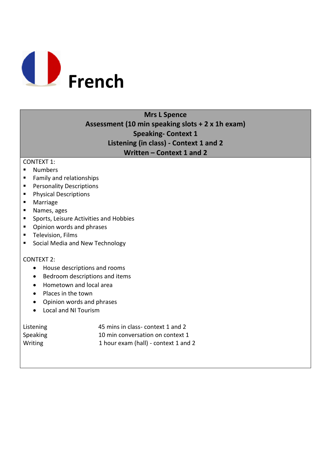

#### **Mrs L Spence Assessment (10 min speaking slots + 2 x 1h exam) Speaking- Context 1 Listening (in class) - Context 1 and 2 Written – Context 1 and 2**

#### CONTEXT 1:

- **Numbers**
- **Family and relationships**
- **Personality Descriptions**
- **Physical Descriptions**
- **Marriage**
- **Names**, ages
- **Sports, Leisure Activities and Hobbies**
- **•** Opinion words and phrases
- **Television, Films**
- **Social Media and New Technology**

#### CONTEXT 2:

- House descriptions and rooms
- Bedroom descriptions and items
- Hometown and local area
- Places in the town
- Opinion words and phrases
- Local and NI Tourism

| Listening | 45 mins in class- context 1 and 2    |
|-----------|--------------------------------------|
| Speaking  | 10 min conversation on context 1     |
| Writing   | 1 hour exam (hall) - context 1 and 2 |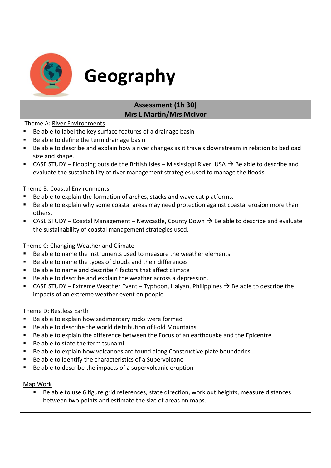

### **Geography**

#### **Assessment (1h 30) Mrs L Martin/Mrs McIvor**

Theme A: River Environments

- Be able to label the key surface features of a drainage basin
- Be able to define the term drainage basin
- Be able to describe and explain how a river changes as it travels downstream in relation to bedload size and shape.
- CASE STUDY Flooding outside the British Isles Mississippi River, USA  $\rightarrow$  Be able to describe and evaluate the sustainability of river management strategies used to manage the floods.

#### Theme B: Coastal Environments

- Be able to explain the formation of arches, stacks and wave cut platforms.
- Be able to explain why some coastal areas may need protection against coastal erosion more than others.
- **CASE STUDY** Coastal Management Newcastle, County Down  $\rightarrow$  Be able to describe and evaluate the sustainability of coastal management strategies used.

#### Theme C: Changing Weather and Climate

- Be able to name the instruments used to measure the weather elements
- Be able to name the types of clouds and their differences
- Be able to name and describe 4 factors that affect climate
- Be able to describe and explain the weather across a depression.
- CASE STUDY Extreme Weather Event Typhoon, Haiyan, Philippines  $\rightarrow$  Be able to describe the impacts of an extreme weather event on people

#### Theme D: Restless Earth

- Be able to explain how sedimentary rocks were formed
- Be able to describe the world distribution of Fold Mountains
- Be able to explain the difference between the Focus of an earthquake and the Epicentre
- Be able to state the term tsunami
- Be able to explain how volcanoes are found along Constructive plate boundaries
- Be able to identify the characteristics of a Supervolcano
- Be able to describe the impacts of a supervolcanic eruption

#### Map Work

 Be able to use 6 figure grid references, state direction, work out heights, measure distances between two points and estimate the size of areas on maps.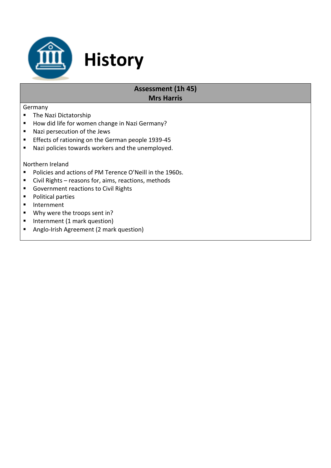

### **Assessment (1h 45)**

#### **Mrs Harris**

#### Germany

- **The Nazi Dictatorship**
- How did life for women change in Nazi Germany?

**History**

- Nazi persecution of the Jews
- **Effects of rationing on the German people 1939-45**
- **Nazi policies towards workers and the unemployed.**

#### Northern Ireland

- Policies and actions of PM Terence O'Neill in the 1960s.
- Civil Rights reasons for, aims, reactions, methods
- Government reactions to Civil Rights
- **Political parties**
- **Internment**
- Why were the troops sent in?
- **Internment (1 mark question)**
- Anglo-Irish Agreement (2 mark question)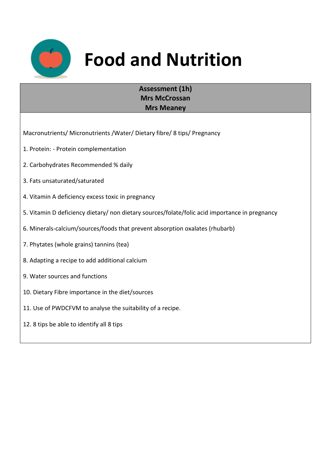

## **Food and Nutrition**

#### **Assessment (1h) Mrs McCrossan Mrs Meaney**

Macronutrients/ Micronutrients /Water/ Dietary fibre/ 8 tips/ Pregnancy

- 1. Protein: Protein complementation
- 2. Carbohydrates Recommended % daily
- 3. Fats unsaturated/saturated
- 4. Vitamin A deficiency excess toxic in pregnancy
- 5. Vitamin D deficiency dietary/ non dietary sources/folate/folic acid importance in pregnancy
- 6. Minerals-calcium/sources/foods that prevent absorption oxalates (rhubarb)
- 7. Phytates (whole grains) tannins (tea)
- 8. Adapting a recipe to add additional calcium
- 9. Water sources and functions
- 10. Dietary Fibre importance in the diet/sources
- 11. Use of PWDCFVM to analyse the suitability of a recipe.
- 12. 8 tips be able to identify all 8 tips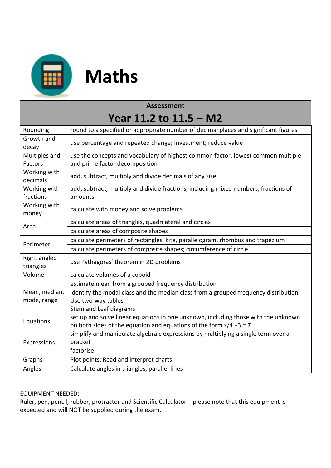

# **H** Maths

| <b>Assessment</b>                                                                                                           |                                                                                                                                                             |  |  |
|-----------------------------------------------------------------------------------------------------------------------------|-------------------------------------------------------------------------------------------------------------------------------------------------------------|--|--|
| Year 11.2 to 11.5 – M2                                                                                                      |                                                                                                                                                             |  |  |
| Rounding                                                                                                                    | round to a specified or appropriate number of decimal places and significant figures                                                                        |  |  |
| Growth and<br>decay                                                                                                         | use percentage and repeated change; Investment; reduce value                                                                                                |  |  |
| Multiples and<br>Factors                                                                                                    | use the concepts and vocabulary of highest common factor, lowest common multiple<br>and prime factor decomposition                                          |  |  |
| Working with<br>add, subtract, multiply and divide decimals of any size<br>decimals                                         |                                                                                                                                                             |  |  |
| Working with<br>add, subtract, multiply and divide fractions, including mixed numbers, fractions of<br>fractions<br>amounts |                                                                                                                                                             |  |  |
| Working with<br>calculate with money and solve problems<br>money                                                            |                                                                                                                                                             |  |  |
| Area                                                                                                                        | calculate areas of triangles, quadrilateral and circles                                                                                                     |  |  |
|                                                                                                                             | calculate areas of composite shapes                                                                                                                         |  |  |
| Perimeter                                                                                                                   | calculate perimeters of rectangles, kite, parallelogram, rhombus and trapezium                                                                              |  |  |
|                                                                                                                             | calculate perimeters of composite shapes; circumference of circle                                                                                           |  |  |
| Right angled<br>triangles                                                                                                   | use Pythagoras' theorem in 2D problems                                                                                                                      |  |  |
| Volume<br>calculate volumes of a cuboid                                                                                     |                                                                                                                                                             |  |  |
|                                                                                                                             | estimate mean from a grouped frequency distribution                                                                                                         |  |  |
| Mean, median,                                                                                                               | identify the modal class and the median class from a grouped frequency distribution                                                                         |  |  |
| mode, range                                                                                                                 | Use two-way tables                                                                                                                                          |  |  |
|                                                                                                                             | Stem and Leaf diagrams                                                                                                                                      |  |  |
| Equations                                                                                                                   | set up and solve linear equations in one unknown, including those with the unknown<br>on both sides of the equation and equations of the form $x/4 + 3 = 7$ |  |  |
| Expressions                                                                                                                 | simplify and manipulate algebraic expressions by multiplying a single term over a<br>bracket                                                                |  |  |
|                                                                                                                             | factorise                                                                                                                                                   |  |  |
| Graphs                                                                                                                      | Plot points; Read and interpret charts                                                                                                                      |  |  |
| Angles                                                                                                                      | Calculate angles in triangles, parallel lines                                                                                                               |  |  |

#### EQUIPMENT NEEDED:

Ruler, pen, pencil, rubber, protractor and Scientific Calculator – please note that this equipment is expected and will NOT be supplied during the exam.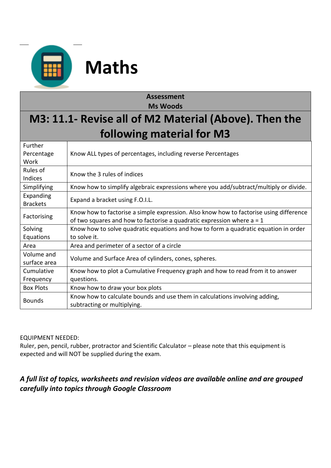

### **Maths**

#### **Assessment Ms Woods**

### **M3: 11.1- Revise all of M2 Material (Above). Then the following material for M3**

| Further          |                                                                                        |  |
|------------------|----------------------------------------------------------------------------------------|--|
| Percentage       | Know ALL types of percentages, including reverse Percentages                           |  |
| Work             |                                                                                        |  |
| Rules of         | Know the 3 rules of indices                                                            |  |
| Indices          |                                                                                        |  |
| Simplifying      | Know how to simplify algebraic expressions where you add/subtract/multiply or divide.  |  |
| Expanding        | Expand a bracket using F.O.I.L.                                                        |  |
| <b>Brackets</b>  |                                                                                        |  |
|                  | Know how to factorise a simple expression. Also know how to factorise using difference |  |
| Factorising      | of two squares and how to factorise a quadratic expression where $a = 1$               |  |
| Solving          | Know how to solve quadratic equations and how to form a quadratic equation in order    |  |
| Equations        | to solve it.                                                                           |  |
| Area             | Area and perimeter of a sector of a circle                                             |  |
| Volume and       |                                                                                        |  |
| surface area     | Volume and Surface Area of cylinders, cones, spheres.                                  |  |
| Cumulative       | Know how to plot a Cumulative Frequency graph and how to read from it to answer        |  |
| Frequency        | questions.                                                                             |  |
| <b>Box Plots</b> | Know how to draw your box plots                                                        |  |
| <b>Bounds</b>    | Know how to calculate bounds and use them in calculations involving adding,            |  |
|                  | subtracting or multiplying.                                                            |  |

#### EQUIPMENT NEEDED:

Ruler, pen, pencil, rubber, protractor and Scientific Calculator – please note that this equipment is expected and will NOT be supplied during the exam.

#### *A full list of topics, worksheets and revision videos are available online and are grouped carefully into topics through Google Classroom*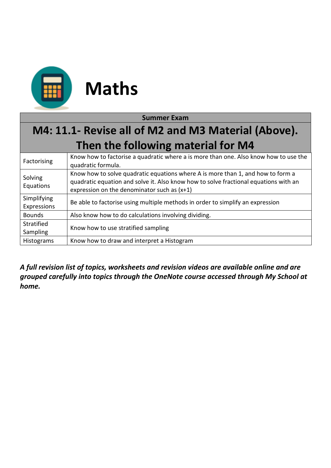

| <b>Summer Exam</b>                                  |                                                                                                                                                                                                                          |  |  |
|-----------------------------------------------------|--------------------------------------------------------------------------------------------------------------------------------------------------------------------------------------------------------------------------|--|--|
| M4: 11.1- Revise all of M2 and M3 Material (Above). |                                                                                                                                                                                                                          |  |  |
| Then the following material for M4                  |                                                                                                                                                                                                                          |  |  |
| Factorising                                         | Know how to factorise a quadratic where a is more than one. Also know how to use the<br>quadratic formula.                                                                                                               |  |  |
| Solving<br>Equations                                | Know how to solve quadratic equations where A is more than 1, and how to form a<br>quadratic equation and solve it. Also know how to solve fractional equations with an<br>expression on the denominator such as $(x+1)$ |  |  |
| Simplifying<br>Expressions                          | Be able to factorise using multiple methods in order to simplify an expression                                                                                                                                           |  |  |
| <b>Bounds</b>                                       | Also know how to do calculations involving dividing.                                                                                                                                                                     |  |  |
| Stratified<br>Sampling                              | Know how to use stratified sampling                                                                                                                                                                                      |  |  |
| Histograms                                          | Know how to draw and interpret a Histogram                                                                                                                                                                               |  |  |

*A full revision list of topics, worksheets and revision videos are available online and are grouped carefully into topics through the OneNote course accessed through My School at home.*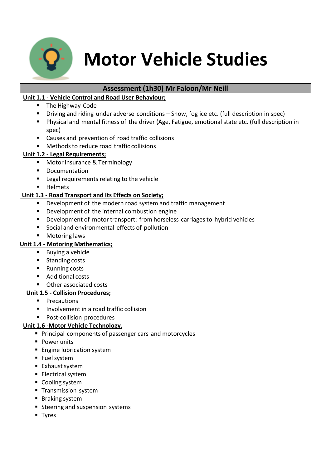

### **Motor Vehicle Studies**

#### **Assessment (1h30) Mr Faloon/Mr Neill**

#### **Unit 1.1 - Vehicle Control and Road User Behaviour;**

- The Highway Code
- Driving and riding under adverse conditions Snow, fog ice etc. (full description in spec)
- Physical and mental fitness of the driver (Age, Fatigue, emotional state etc. (full description in spec)
- Causes and prevention of road traffic collisions
- Methodsto reduce road traffic collisions

#### **Unit 1.2 - Legal Requirements;**

- **Motor insurance & Terminology**
- **•** Documentation
- **EXEC** Legal requirements relating to the vehicle
- **Helmets**

#### **Unit 1.3 - Road Transport and Its Effects on Society;**

- Development of the modern road system and traffic management
- **•** Development of the internal combustion engine
- **•** Development of motor transport: from horseless carriages to hybrid vehicles
- Social and environmental effects of pollution
- Motoring laws

#### **Unit 1.4 - Motoring Mathematics;**

- **Buying a vehicle**
- **Standing costs**
- Running costs
- Additional costs
- Other associated costs

#### **Unit 1.5 - Collision Procedures;**

- **Precautions**
- **Involvement in a road traffic collision**
- **Post-collision procedures**

#### **Unit 1.6 -Motor Vehicle Technology.**

- **Principal components of passenger cars and motorcycles**
- **Power units**
- **Engine lubrication system**
- Fuel system
- Exhaust system
- **Electrical system**
- Cooling system
- **Transmission system**
- Braking system
- **Steering and suspension systems**
- **Tyres**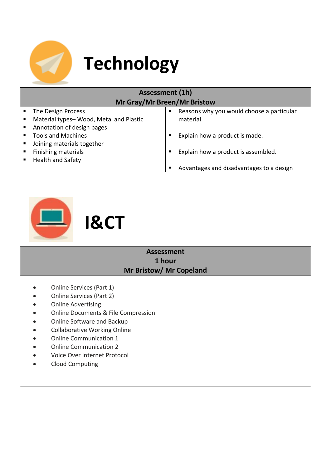

# **Technology**

| <b>Assessment (1h)</b>             |                                        |   |                                           |
|------------------------------------|----------------------------------------|---|-------------------------------------------|
| <b>Mr Gray/Mr Breen/Mr Bristow</b> |                                        |   |                                           |
|                                    | The Design Process                     | п | Reasons why you would choose a particular |
|                                    | Material types-Wood, Metal and Plastic |   | material.                                 |
|                                    | Annotation of design pages             |   |                                           |
|                                    | <b>Tools and Machines</b>              | п | Explain how a product is made.            |
|                                    | Joining materials together             |   |                                           |
|                                    | Finishing materials                    | п | Explain how a product is assembled.       |
|                                    | Health and Safety                      |   |                                           |
|                                    |                                        | п | Advantages and disadvantages to a design  |



#### **Assessment 1 hour Mr Bristow/ Mr Copeland**

- Online Services (Part 1)
- Online Services (Part 2)
- Online Advertising
- Online Documents & File Compression
- Online Software and Backup
- Collaborative Working Online
- Online Communication 1
- Online Communication 2
- Voice Over Internet Protocol
- Cloud Computing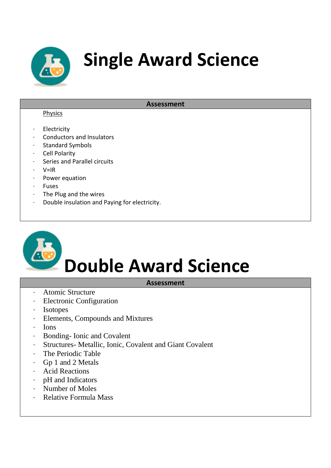

### **Single Award Science**

#### **Assessment**

#### Physics

- **Electricity**
- · Conductors and Insulators
- Standard Symbols
- · Cell Polarity
- Series and Parallel circuits
- · V=IR
- · Power equation
- · Fuses
- · The Plug and the wires
- · Double insulation and Paying for electricity.

# **Double Award Science**

#### **Assessment**

- · Atomic Structure
- · Electronic Configuration
- · Isotopes
- · Elements, Compounds and Mixtures
- · Ions
- · Bonding- Ionic and Covalent
- · Structures- Metallic, Ionic, Covalent and Giant Covalent
- · The Periodic Table
- · Gp 1 and 2 Metals
- · Acid Reactions
- · pH and Indicators
- · Number of Moles
- Relative Formula Mass